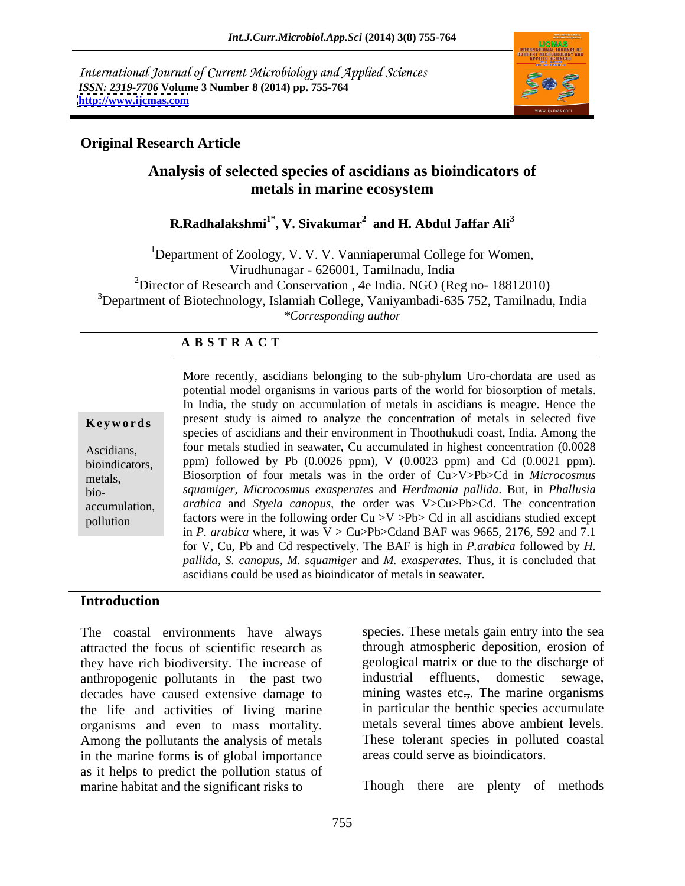International Journal of Current Microbiology and Applied Sciences *ISSN: 2319-7706* **Volume 3 Number 8 (2014) pp. 755-764 <http://www.ijcmas.com>**



### **Original Research Article**

## **Analysis of selected species of ascidians as bioindicators of metals in marine ecosystem**

 $\mathbf{R}.\mathbf{Radhalakshmi}^{1*}, \mathbf{V}.\ \mathbf{Sivakumar}^{2} \ \ \mathbf{and} \ \mathbf{H}.\ \mathbf{Abdul Jaffar Ali}^{3}$ **and H. Abdul Jaffar Ali<sup>3</sup>**

<sup>1</sup>Department of Zoology, V. V. V. Vanniaperumal College for Women, Virudhunagar - 626001, Tamilnadu, India <sup>2</sup>Director of Research and Conservation, 4e India. NGO (Reg no- 18812010) <sup>3</sup>Department of Biotechnology, Islamiah College, Vaniyambadi-635 752, Tamilnadu, India *\*Corresponding author*

### **A B S T R A C T**

**Keywords** present study is aimed to analyze the concentration of metals in selected five Ascidians, four metals studied in seawater, Cu accumulated in highest concentration (0.0028 bioindicators, ppm) followed by Pb (0.0026 ppm), V (0.0023 ppm) and Cd (0.0021 ppm). metals, Biosorption of four metals was in the order of Cu>V>Pb>Cd in *Microcosmus*  bio- *squamiger, Microcosmus exasperates* and *Herdmania pallida*. But, in *Phallusia*  accumulation, *arabica* and *Styela canopus,* the order was V>Cu>Pb>Cd. The concentration pollution factors were in the following order Cu  $>V$  >Pb> Cd in all ascidians studied except More recently, ascidians belonging to the sub-phylum Uro-chordata are used as potential model organisms in various parts of the world for biosorption of metals. In India, the study on accumulation of metals in ascidians is meagre. Hence the species of ascidians and their environment in Thoothukudi coast, India.Among the in *P. arabica* where, it was  $V > Cu > Pb > C$ dand BAF was 9665, 2176, 592 and 7.1 for V, Cu, Pb and Cd respectively. The BAF is high in *P.arabica* followed by *H. pallida, S. canopus, M. squamiger* and *M. exasperates.* Thus, it is concluded that ascidians could be used as bioindicator of metals in seawater.

#### **Introduction**

The coastal environments have always attracted the focus of scientific research as they have rich biodiversity. The increase of geological matrix or due to the dis<br>anthronogenic pollutants in the past two industrial effluents, domestic anthropogenic pollutants in the past two decades have caused extensive damage to the life and activities of living marine organisms and even to mass mortality. Among the pollutants the analysisof metals in the marine forms is of global importance as it helps to predict the pollution status of marine habitat and the significant risks to Though there are plenty of methods

species. These metals gain entry into the sea through atmospheric deposition, erosion of geological matrix or due to the discharge of industrial effluents, domestic sewage, mining wastes etc., The marine organisms in particular the benthic species accumulate metals several times above ambient levels. These tolerant species in polluted coastal areas could serve as bioindicators.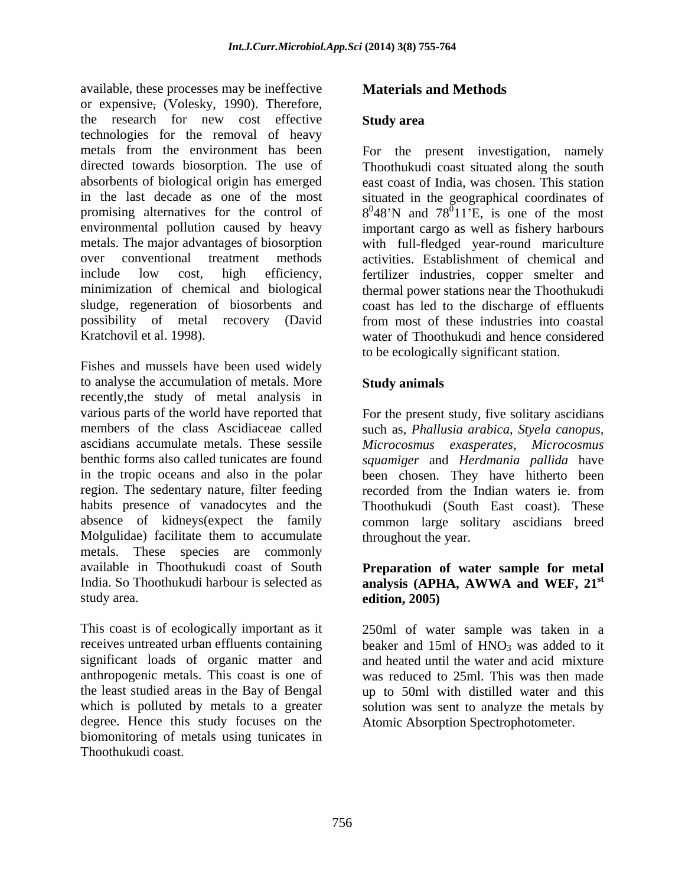available, these processes may be ineffective or expensive, (Volesky, 1990). Therefore, the research for new cost effective Study area technologies for the removal of heavy metals from the environment has been For the present investigation, namely directed towards biosorption. The use of Thoothukudi coast situated along the south absorbents of biological origin has emerged east coast of India, was chosen. This station in the last decade as one of the most situated in the geographical coordinates of promising alternatives for the control of  $8^048'N$  and  $78^011'E$ , is one of the most environmental pollution caused by heavy important cargo as well as fishery harbours metals. The major advantages of biosorption with full-fledged year-round mariculture over conventional treatment methods activities. Establishment of chemical and include low cost, high efficiency, fertilizer industries, copper smelter and minimization of chemical and biological thermal power stations near the Thoothukudi sludge, regeneration of biosorbents and coast has led to the discharge of effluents possibility of metal recovery (David from most of these industries into coastal

Fishes and mussels have been used widely to analyse the accumulation of metals. More Study animals recently,the study of metal analysis in various parts of the world have reported that For the present study, five solitary ascidians members of the class Ascidiaceae called such as, *Phallusia arabica, Styela canopus,* ascidians accumulate metals. These sessile *Microcosmus exasperates, Microcosmus* benthic forms also called tunicates are found *squamiger* and *Herdmania pallida* have in the tropic oceans and also in the polar been chosen. They have hitherto been region. The sedentary nature, filter feeding recorded from the Indian waters ie. from habits presence of vanadocytes and the absence of kidneys(expect the family common large solitary ascidians breed Molgulidae) facilitate them to accumulate metals. These species are commonly<br>available in Thoothukudi coast of South available in Thoothukudi coast of South **Preparation of water sample for metal** India. So Thoothukudi harbour is selected as **analysis (APHA, AWWA and WEF, 21** study area. **edition**, 2005)

This coast is of ecologically important as it 250ml of water sample was taken in a receives untreated urban effluents containing beaker and 15ml of HNO<sub>3</sub> was added to it significant loads of organic matter and anthropogenic metals. This coast is one of the least studied areas in the Bay of Bengal up to 50ml with distilled water and this which is polluted by metals to a greater solution was sent to analyze the metals by degree. Hence this study focuses on the biomonitoring of metals using tunicates in Thoothukudi coast.

## **Materials and Methods**

### **Study area**

Kratchovil et al. 1998). water of Thoothukudi and hence considered to be ecologically significant station.

### **Study animals**

Thoothukudi (South East coast). These throughout the year.

# **st edition, 2005)**

and heated until the water and acid mixture was reduced to 25ml. This was then made Atomic Absorption Spectrophotometer.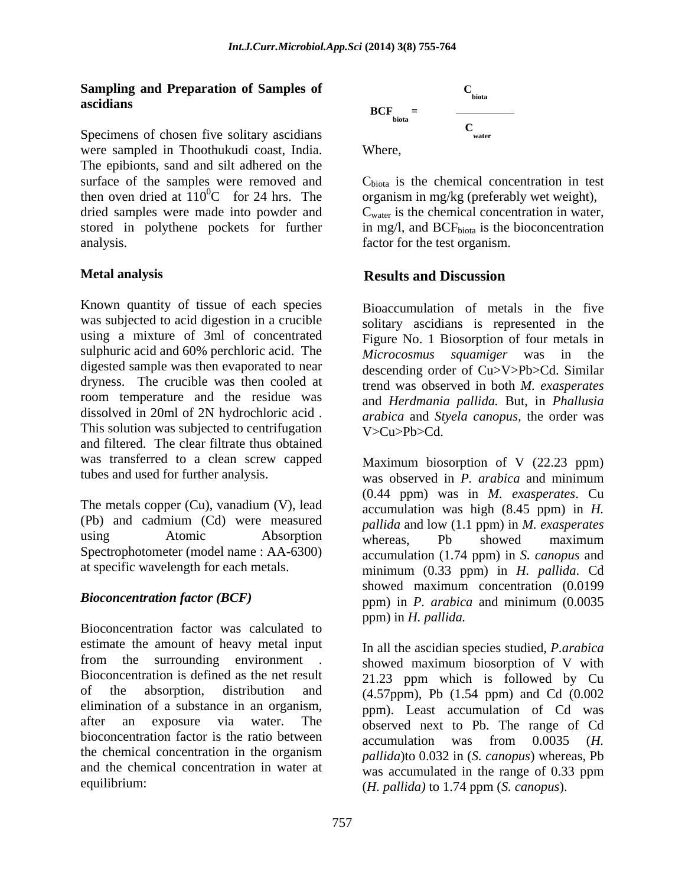### **Sampling and Preparation of Samples of ascidians**

Specimens of chosen five solitary ascidians were sampled in Thoothukudi coast, India. The epibionts, sand and silt adhered on the surface of the samples were removed and  $C_{\text{biota}}$  is the chemical concentration in test then oven dried at  $110^0C$  for 24 hrs. The organism in mg/kg (preferably wet weight), dried samples were made into powder and  $C_{\text{water}}$  is the chemical concentration in water, stored in polythene pockets for further  $\qquad$  in mg/l, and BCF<sub>biota</sub> is the bioconcentration analysis. factor for the test organism.

Known quantity of tissue of each species was subjected to acid digestion in a crucible sulphuric acid and 60% perchloric acid. The *Microcosmus* squamiger was in the digested sample was then evaporated to near dryness. The crucible was then cooled at room temperature and the residue was dissolved in 20ml of 2N hydrochloric acid . This solution was subjected to centrifugation  $V > Cu > Pb > Cd$ . and filtered. The clear filtrate thus obtained was transferred to a clean screw capped

The metals copper (Cu), vanadium (V), lead (Pb) and cadmium (Cd) were measured Spectrophotometer (model name : AA-6300)

Bioconcentration factor was calculated to estimate the amount of heavy metal input from the surrounding environment . Bioconcentration is defined as the net result<br>of the absorption, distribution and elimination of a substance in an organism, bioconcentration factor is the ratio between  $\alpha$  accumulation was from 0.0035 (*H*. and the chemical concentration in water at

$$
BCF_{\text{biota}} = \frac{C_{\text{biota}}}{C_{\text{water}}}
$$

Where,

#### **Metal analysis Results and Discussion**

using a mixture of 3ml of concentrated Figure No. 1 Biosorption of four metals in Bioaccumulation of metals in the five solitary ascidians is represented in the *Microcosmus squamiger* was in the descending order of Cu>V>Pb>Cd. Similar trend was observed in both *M. exasperates* and *Herdmania pallida.* But, in *Phallusia arabica* and *Styela canopus,* the order was V>Cu>Pb>Cd.

tubes and used for further analysis. was observed in *P. arabica* and minimum using  $\overrightarrow{A}$ tomic  $\overrightarrow{A}$ bsorption  $\overrightarrow{b}$  whereas  $\overrightarrow{Ph}$  showed maximum at specific wavelength for each metals. minimum (0.33 ppm) in *H. pallida*. Cd *Bioconcentration factor (BCF)* ppm) in *P. arabica* and minimum (0.0035 Maximum biosorption of V (22.23 ppm) (0.44 ppm) was in *M. exasperates*. Cu accumulation was high (8.45 ppm) in *H. pallida* and low (1.1 ppm) in *M. exasperates* whereas, Pb showed maximum accumulation (1.74 ppm) in *S. canopus* and showed maximum concentration (0.0199 ppm) in *H. pallida.* 

of the absorption, distribution and (4.57ppm), Pb (1.54 ppm) and Cd (0.002 after an exposure via water. The observed next to Pb. The range of Cd the chemical concentration in the organism  $p_{\text{allidal}}$  to 0.032 in (S canonus) whereas Ph equilibrium: (*H. pallida)* to 1.74 ppm (*S. canopus*). In all the ascidian species studied, *P.arabica* showed maximum biosorption of V with 21.23 ppm which is followed by Cu ppm). Least accumulation of Cd was accumulation was from 0.0035 (*H. pallida*)to 0.032 in (*S. canopus*) whereas, Pb was accumulated in the range of 0.33 ppm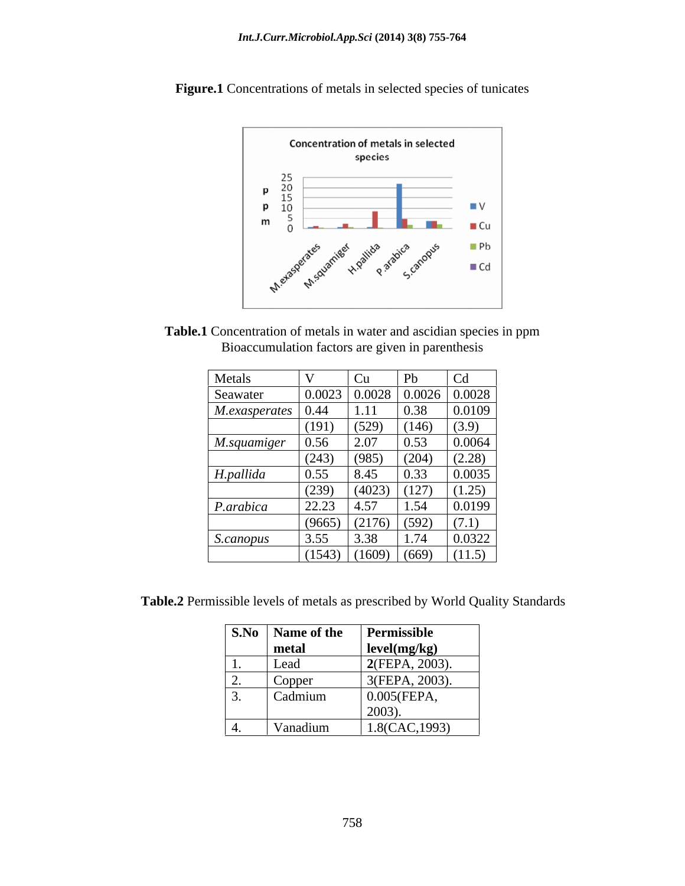

**Figure.1** Concentrations of metals in selected species of tunicates

**Table.1** Concentration of metals in water and ascidian species in ppm Bioaccumulation factors are given in parenthesis

| Metals             |        | Cu -                                                  | P <sub>b</sub>           | Cd     |
|--------------------|--------|-------------------------------------------------------|--------------------------|--------|
| Seawater           |        | $\vert 0.0023 \vert 0.0028 \vert 0.0026 \vert 0.0028$ |                          |        |
| $M. examples$ 0.44 |        | 1.11                                                  | $\vert 0.38 \vert$       | 0.0109 |
|                    | (191)  | (529)                                                 | (146)                    | (3.9)  |
| M.squamiger 0.56   |        | 2.07                                                  | $\vert 0.53 \vert$       | 0.0064 |
|                    | (243)  | (985)                                                 | (204)                    | (2.28) |
| H.pallida          | 0.55   | 8.45                                                  | 0.33                     | 0.0035 |
|                    | (239)  | (4023)                                                | (127)                    | (1.25) |
| P.arabica          | 22.23  | .457<br>، ب                                           | 1.54                     | 0.0199 |
|                    | (9665) | (2176)                                                | (592)                    | (7.1)  |
| S.canopus          | 3.55   | 3.38                                                  | $1 \overline{7}$<br>1.74 | 0.0322 |
|                    | (1543) | (1609)                                                | (669)                    | (11.5) |

**Table.2** Permissible levels of metals as prescribed by World Quality Standards

|                | S.No   Name of the | Permissible       |
|----------------|--------------------|-------------------|
|                | metal              | level(mg/kg)      |
| $\cdots$       | Lead               | 2(FEPA, 2003).    |
| ∠.             | Copper             | $3(FEPA, 2003)$ . |
| . J.           | Cadmium            | 0.005(FEPA,       |
|                |                    | $2003$ ).         |
| $\mathbf{T}$ . | Vanadium           | 1.8(CAC, 1993)    |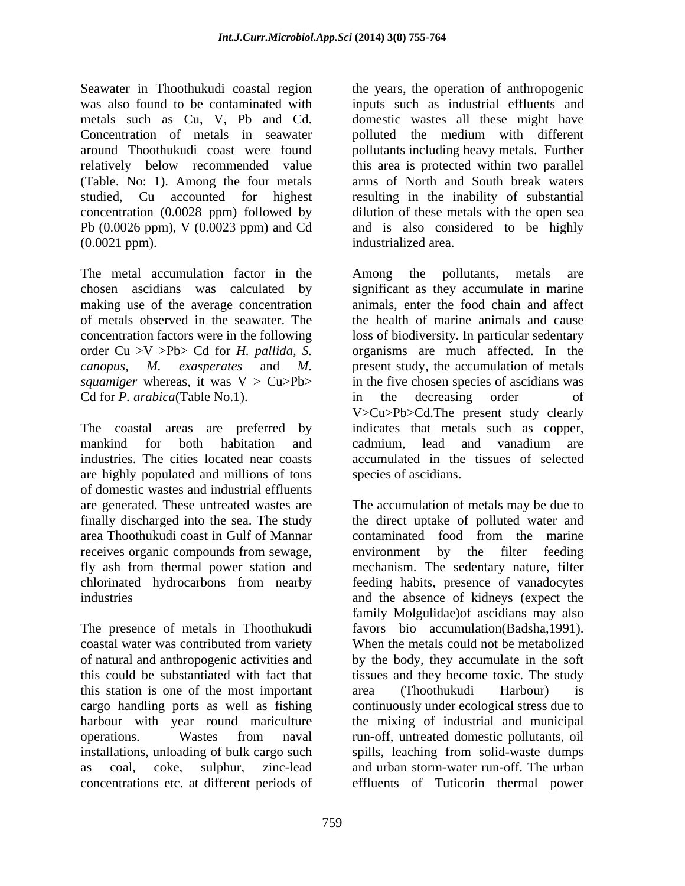Seawater in Thoothukudi coastal region the years, the operation of anthropogenic was also found to be contaminated with inputs such as industrial effluents and metals such as Cu, V, Pb and Cd. domestic wastes all these might have Concentration of metals in seawater polluted the medium with different around Thoothukudi coast were found pollutants including heavy metals. Further relatively below recommended value (Table. No: 1). Among the four metals arms of North and South break waters studied, Cu accounted for highest resulting in the inability of substantial concentration (0.0028 ppm) followed by dilution of these metals with the open sea Pb (0.0026 ppm), V (0.0023 ppm) and Cd and is also considered to be highly (0.0021 ppm). industrialized area.

The metal accumulation factor in the Among the pollutants, metals are making use of the average concentration Cd for *P. arabica*(Table No.1). in the decreasing order of

are highly populated and millions of tons of domestic wastes and industrial effluents are generated. These untreated wastes are The accumulation of metals may be due to finally discharged into the sea. The study area Thoothukudi coast in Gulf of Mannar contaminated food from the marine receives organic compounds from sewage, environment by the filter feeding<br>fly ash from thermal power station and mechanism. The sedentary nature, filter fly ash from thermal power station and mechanism. The sedentary nature, filter chlorinated hydrocarbons from nearby feeding habits, presence of vanadocytes

The presence of metals in Thoothukudi favors bio accumulation(Badsha,1991). coastal water was contributed from variety of natural and anthropogenic activities and by the body, they accumulate in the soft this could be substantiated with fact that tissuesand they become toxic. The study this station is one of the most important cargo handling ports as well as fishing continuously under ecological stress due to harbour with year round mariculture the mixing of industrial and municipal operations. Wastes from naval run-off, untreated domestic pollutants, oil installations, unloading of bulk cargo such spills, leaching from solid-waste dumps as coal, coke, sulphur, zinc-lead and urban storm-water run-off. The urban concentrations etc. at different periods of effluents of Tuticorin thermal power

this area is protected within two parallel

chosen ascidians was calculated by significant as they accumulate in marine of metals observed in the seawater. The the health of marine animals and cause concentration factors were in the following loss of biodiversity. In particular sedentary order Cu >V >Pb> Cd for *H. pallida, S.* organisms are much affected. In the *canopus, M. exasperates* and *M.*  present study, the accumulation of metals *squamiger* whereas, it was  $V > Cu > Pb >$  in the five chosen species of ascidians was The coastal areas are preferred by indicates that metals such as copper, mankind for both habitation and industries. The cities located near coasts accumulated in the tissues of selected Among the pollutants, metals are animals, enter the food chain and affect in the decreasing order of V>Cu>Pb>Cd.The present study clearly cadmium, lead and vanadium are species of ascidians.

industries and the absence of kidneys (expect the the direct uptake of polluted water and environment by the filter feeding family Molgulidae)of ascidians may also When the metals could not be metabolized area (Thoothukudi Harbour) is spills, leaching from solid-waste dumps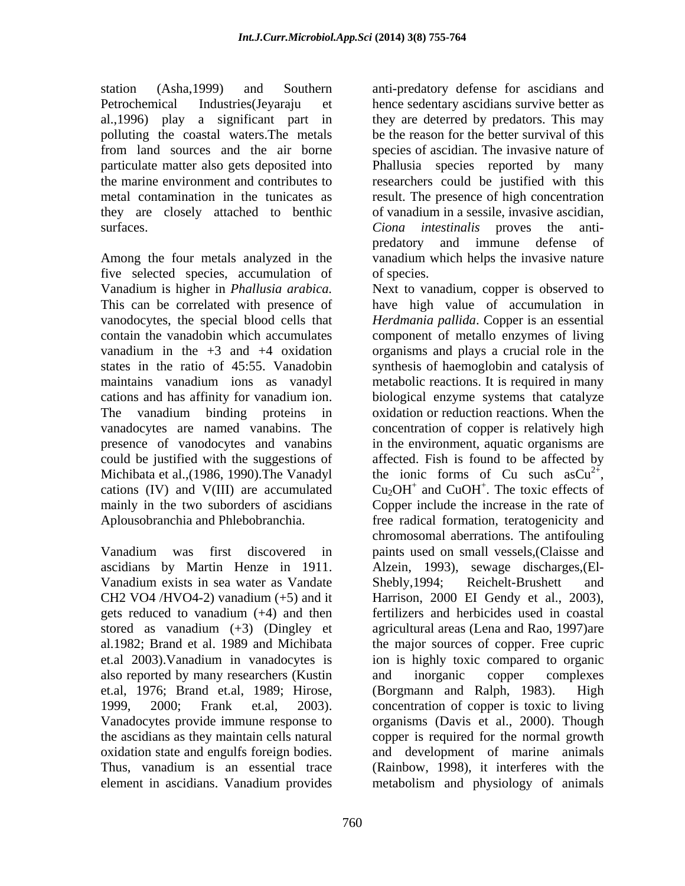they are closely attached to benthic

Among the four metals analyzed in the vanadium which helps the invasive nature five selected species, accumulation of Michibata et al.,(1986, 1990).The Vanadyl cations (IV) and V(III) are accumulated  $Cu<sub>2</sub>OH<sup>+</sup>$  and CuOH<sup>+</sup>. The toxic effects of

Vanadium exists in sea water as Vandate Shebly, 1994; Reichelt-Brushett and gets reduced to vanadium (+4) and then also reported by many researchers (Kustin et.al, 1976; Brand et.al, 1989; Hirose, element in ascidians. Vanadium provides metabolism and physiology of animals

station (Asha,1999) and Southern anti-predatory defense for ascidians and Petrochemical Industries(Jeyaraju et hence sedentary ascidians survive better as al.,1996) play a significant part in they are deterred by predators. This may polluting the coastal waters.The metals be the reason for the better survival of this from land sources and the air borne species of ascidian. The invasive nature of particulate matter also gets deposited into Phallusia species reported by many the marine environment and contributes to researchers could be justified with this metal contamination in the tunicates as result. The presence of high concentration surfaces. *Ciona intestinalis* proves the anti of vanadium in a sessile, invasive ascidian, predatory and immune defense of of species.

Vanadium is higher in *Phallusia arabica.* Next to vanadium, copper is observed to This can be correlated with presence of have high value of accumulation in vanodocytes, the special blood cells that *Herdmania pallida*. Copper is an essential contain the vanadobin which accumulates component of metallo enzymes of living vanadium in the +3 and +4 oxidation organisms and plays a crucial role in the states in the ratio of 45:55. Vanadobin synthesis of haemoglobin and catalysis of maintains vanadium ions as vanadyl metabolic reactions. It is required in many cations and has affinity for vanadium ion. biological enzyme systems that catalyze The vanadium binding proteins in oxidation or reduction reactions. When the vanadocytes are named vanabins. The concentration of copper is relatively high presence of vanodocytes and vanabins in the environment, aquatic organisms are could be justified with the suggestions of affected. Fish is found to be affected by mainly in the two suborders of ascidians Copper include the increase in the rate of Aplousobranchia and Phlebobranchia. free radical formation, teratogenicity and Vanadium was first discovered in paints used on small vessels,(Claisse and ascidians by Martin Henze in 1911. Alzein, 1993), sewage discharges,(El- CH2 VO4 /HVO4-2) vanadium  $(+5)$  and it Harrison, 2000 EI Gendy et al., 2003), stored as vanadium (+3) (Dingley et agricultural areas (Lena and Rao, 1997)are al.1982; Brand et al. 1989 and Michibata the major sources of copper. Free cupric et.al 2003).Vanadium in vanadocytes is ion is highly toxic compared to organic 1999, 2000; Frank et.al, 2003). concentration of copper is toxic to living Vanadocytes provide immune response to organisms (Davis et al., 2000). Though the ascidians as they maintain cells natural copper is required for the normal growth oxidation state and engulfs foreign bodies. and development of marine animals Thus, vanadium is an essential trace (Rainbow, 1998), it interferes with the the ionic forms of Cu such  $a sCu^{2+}$ ,  $2^{+}$ the ionic forms of Cu such as  $Cu^{2+}$ ,<br>Cu<sub>2</sub>OH<sup>+</sup> and CuOH<sup>+</sup>. The toxic effects of and CuOH<sup>+</sup>. The toxic effects of  $^+$  The toxic effects of . The toxic effects of chromosomal aberrations. The antifouling Shebly,1994; Reichelt-Brushett and Harrison, 2000 EI Gendy et al., 2003), fertilizers and herbicides used in coastal and inorganic copper complexes  $(Borganan$  and Ralph, 1983).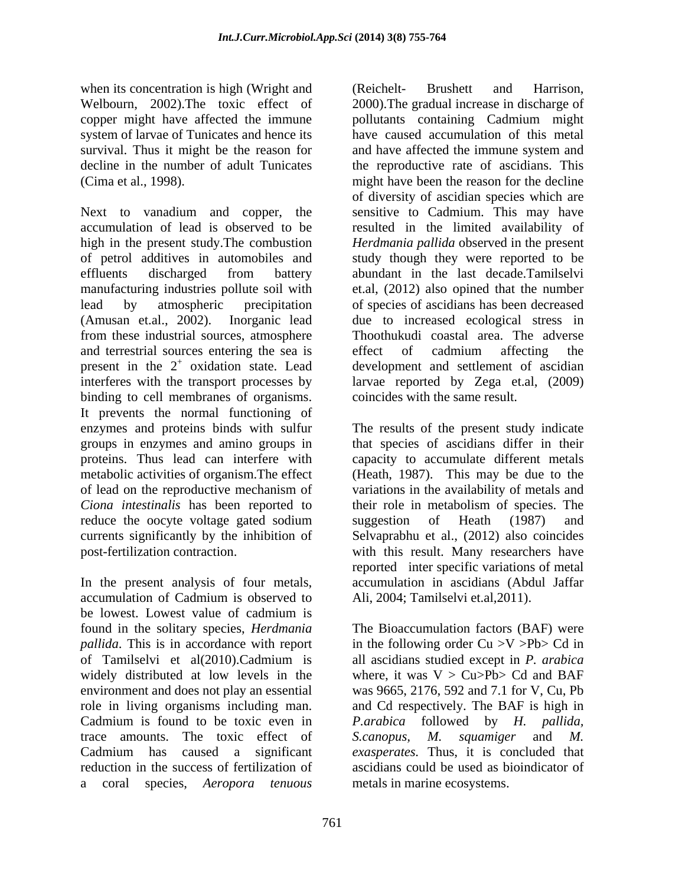when its concentration is high (Wright and Telechell Brushett and Harrison, copper might have affected the immune pollutants containing Cadmium might survival. Thus it might be the reason for and have affected the immune system and

Next to vanadium and copper, the sensitive to Cadmium. This may have accumulation of lead is observed to be resulted in the limited availability of high in the present study. The combustion *Herdmania pallida* observed in the present of petrol additives in automobiles and study though they were reported to be effluents discharged from battery abundant in the last decade.Tamilselvi manufacturing industries pollute soil with lead by atmospheric precipitation of species of ascidians has been decreased (Amusan et.al., 2002). Inorganic lead due to increased ecological stress in from these industrial sources, atmosphere and terrestrial sources entering the sea is effect of cadmium affecting the present in the  $2^+$  oxidation state. Lead interferes with the transport processes by larvae reported by Zega et.al, (2009) binding to cell membranes of organisms. It prevents the normal functioning of enzymes and proteins binds with sulfur The results of the present study indicate groups in enzymes and amino groups in that species of ascidians differ in their proteins. Thus lead can interfere with metabolic activities of organism.The effect (Heath, 1987). This may be due to the of lead on the reproductive mechanism of variations in the availability of metals and *Ciona intestinalis* has been reported to their role in metabolism of species. The reduce the oocyte voltage gated sodium suggestion of Heath (1987) and currents significantly by the inhibition of Selvaprabhu et al., (2012) also coincides post-fertilization contraction. with this result. Many researchers have

In the present analysis of four metals, accumulation in ascidians (Abdul Jaffar accumulation of Cadmium is observed to Ali, 2004; Tamilselvi et.al, 2011). be lowest. Lowest value of cadmium is found in the solitary species, *Herdmania*  The Bioaccumulation factors (BAF) were *pallida*. This is in accordance with report in the following order Cu  $>V$  >Pb> Cd in of Tamilselvi et al(2010).Cadmium is all ascidians studied except in P. arabica widely distributed at low levels in the where, it was  $V > Cu > Pb > Cd$  and BAF environment and does not play an essential role in living organisms including man. and Cd respectively. The BAF is high in Cadmium is found to be toxic even in *P.arabica* followed by *H. pallida,* trace amounts. The toxic effect of S.canopus, M. squamiger and M. Cadmium has caused a significant *exasperates.* Thus, it is concluded that reduction in the success of fertilization of ascidians could be used as bioindicator of a coral species, *Aeropora tenuous*

Welbourn, 2002).The toxic effect of 2000).The gradual increase in discharge of system of larvae of Tunicates and hence its have caused accumulation of this metal decline in the number of adult Tunicates the reproductive rate of ascidians. This (Cima et al., 1998). might have been the reason for the decline oxidation state. Lead development and settlement of ascidian (Reichelt- Brushett and Harrison, pollutants containing Cadmium might and have affected the immune system and of diversity of ascidian species which are abundant in the last decade.Tamilselvi et.al, (2012) also opined that the number Thoothukudi coastal area. The adverse effect of cadmium affecting the coincides with the same result.

> capacity to accumulate different metals suggestion of Heath (1987) and reported inter specific variations of metal Ali, 2004; Tamilselvi et.al,2011).

all ascidians studied except in *P. arabica* was 9665, 2176, 592 and 7.1 for V, Cu, Pb *S.canopus, M. squamiger* and *M.*  metals in marine ecosystems.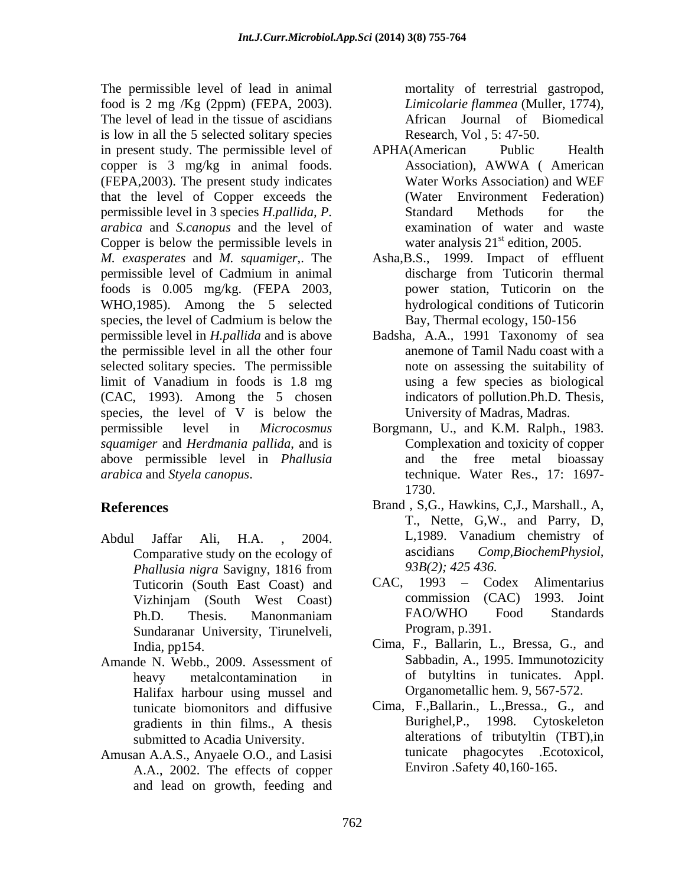The permissible level of lead in animal food is 2 mg /Kg (2ppm) (FEPA, 2003). The level of lead in the tissue of ascidians is low in all the 5 selected solitary species in present study. The permissible level of APHA(American Public Health copper is 3 mg/kg in animal foods. (FEPA,2003). The present study indicates that the level of Copper exceeds the permissible level in 3 species *H.pallida, P. arabica* and *S.canopus* and the level of Copper is below the permissible levels in *M. exasperates* and *M. squamiger*,. The Asha,B.S., 1999. Impact of effluent permissible level of Cadmium in animal foods is 0.005 mg/kg. (FEPA 2003, WHO,1985). Among the 5 selected species, the level of Cadmium is below the permissible level in *H.pallida* and is above Badsha, A.A., 1991 Taxonomy of sea the permissible level in all the other four selected solitary species. The permissible limit of Vanadium in foods is 1.8 mg (CAC, 1993). Among the 5 chosen species, the level of V is below the permissible level in *Microcosmus squamiger* and *Herdmania pallida*, and is above permissible level in *Phallusia arabica* and *Styela canopus*. technique. Water Res., 17: 1697-

- Comparative study on the ecology of *Phallusia nigra* Savigny, 1816 from Sundaranar University, Tirunelveli,
- Amande N. Webb., 2009. Assessment of Halifax harbour using mussel and submitted to Acadia University.
- Amusan A.A.S., Anyaele O.O., and Lasisi A.A., 2002. The effects of copper and lead on growth, feeding and

mortality of terrestrial gastropod, *Limicolarie flammea* (Muller, 1774), African Journal of Biomedical Research, Vol , 5: 47-50.

- APHA(American Public Health Association), AWWA ( American Water Works Association) and WEF (Water Environment Federation) Standard Methods for the examination of water and waste water analysis  $21<sup>st</sup>$  edition, 2005.
- discharge from Tuticorin thermal power station, Tuticorin on the hydrological conditions of Tuticorin Bay, Thermal ecology, 150-156
- anemone of Tamil Nadu coast with a note on assessing the suitability of using a few species as biological indicators of pollution.Ph.D. Thesis, University of Madras, Madras.
- Borgmann, U., and K.M. Ralph., 1983.<br>Complexation and toxicity of copper and the free metal bioassay 1730.
- **References** Brand , S,G., Hawkins, C,J., Marshall., A, Abdul Jaffar Ali, H.A. , 2004. T., Nette, G,W., and Parry, D, L,1989. Vanadium chemistry of  $Comp, BiochemPhysical,$ *93B(2); 425 436.*
	- Tuticorin (South East Coast) and CAC, 1993 Codex Alimentarius<br>Vizhiniam (South West Coast) commission (CAC) 1993. Joint Vizhinjam (South West Coast) commission (CAC) 1993. Joint Ph.D. Thesis. Manonmaniam CAC, 1993 – Codex Alimentarius commission (CAC) 1993. Joint FAO/WHO Food Standards Program, p.391.
	- India, pp154. Cima, F., Ballarin, L., Bressa, G., and heavy metalcontamination in of butyltins in tunicates. Appl. Sabbadin, A., 1995. Immunotozicity Organometallic hem. 9, 567-572.
	- tunicate biomonitors and diffusive Cima, F.,Ballarin., L.,Bressa., G., and gradients in thin films., A thesis Burighel, P., 1998. Cytoskeleton Burighel,P., 1998. Cytoskeleton alterations of tributyltin (TBT),in tunicate phagocytes .Ecotoxicol, Environ .Safety 40,160-165.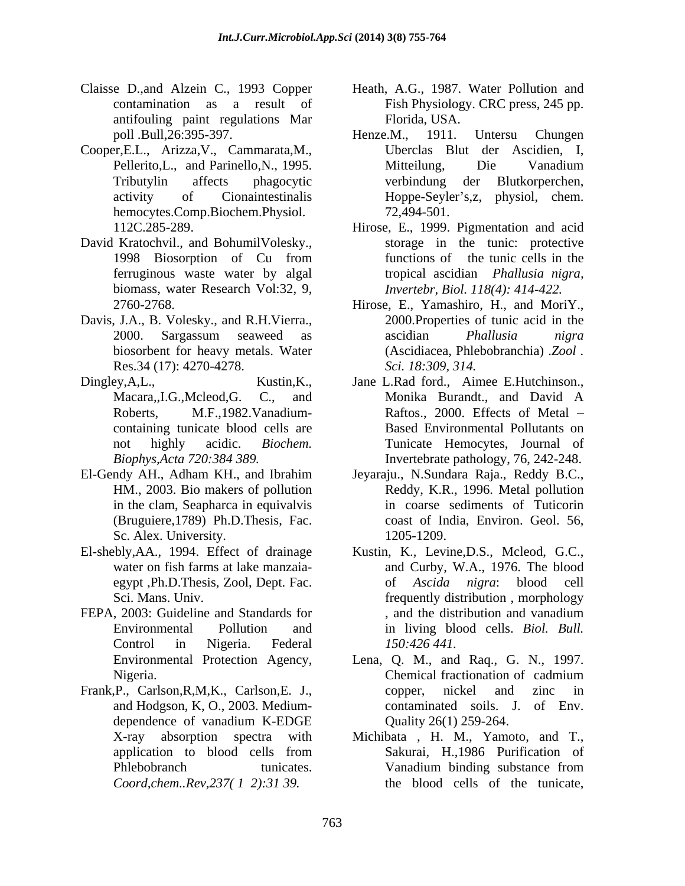- antifouling paint regulations Mar
- Cooper,E.L., Arizza,V., Cammarata,M., hemocytes.Comp.Biochem.Physiol. 72,494-501.
- David Kratochvil., and BohumilVolesky., biomass, water Research Vol:32, 9,
- Davis, J.A., B. Volesky., and R.H.Vierra., Res.34 (17): 4270-4278.
- containing tunicate blood cells are
- El-Gendy AH., Adham KH., and Ibrahim Sc. Alex. University. 1205-1209.
- 
- FEPA, 2003: Guideline and Standards for each control and the distribution and vanadium
- Frank,P., Carlson,R,M,K., Carlson,E. J., copper, nickel and zinc in and Hodgson, K, O., 2003. Medium- *Coord,chem..Rev,237( 1 2):31 39.*
- Claisse D.,and Alzein C., 1993 Copper Heath, A.G., 1987. Water Pollution and contamination as a result of Fish Physiology. CRC press, 245 pp. Florida, USA.
	- poll .Bull,26:395-397. Pellerito, L., and Parinello, N., 1995. Mitteilung, Die Vanadium Tributylin affects phagocytic activity of Cionaintestinalis Hoppe-Seyler's,z, physiol, chem. Henze.M., 1911. Untersu Chungen Uberclas Blut der Ascidien, I, Mitteilung, Die Vanadium verbindung der Blutkorperchen, 72,494-501.
	- 112C.285-289. Hirose, E., 1999. Pigmentation and acid 1998 Biosorption of Cu from ferruginous waste water by algal tropical ascidian *Phallusia nigra,* storage in the tunic: protective functions of the tunic cells in the *Invertebr, Biol. 118(4): 414-422.*
	- 2760-2768. Hirose, E., Yamashiro, H., and MoriY., 2000. Sargassum seaweed as ascidian *Phallusia nigra* biosorbent for heavy metals. Water (Ascidiacea, Phlebobranchia) .*Zool .* 2000.Properties of tunic acid in the ascidian *Phallusia nigra Sci. 18:309, 314.*
- Dingley, A, L., Kustin, K., Jane L.Rad ford., Aimee E.Hutchinson., Macara,,I.G.,Mcleod,G. C., and Monika Burandt., and David A Roberts, M.F.,1982.Vanadium-<br>Raftos., 2000. Effects of Metal – not highly acidic. *Biochem.* Tunicate Hemocytes, Journal of *Biophys,Acta 720:384 389.* Invertebrate pathology, 76, 242-248. Monika Burandt., and David A Based Environmental Pollutants on
	- HM., 2003. Bio makers of pollution Reddy, K.R., 1996. Metal pollution in the clam, Seapharca in equivalvis in coarse sediments of Tuticorin (Bruguiere,1789) Ph.D.Thesis, Fac. coast of India, Environ. Geol. 56, Jeyaraju., N.Sundara Raja., Reddy B.C., 1205-1209.
- El-shebly,AA., 1994. Effect of drainage Kustin, K.*,* Levine,D.S., Mcleod, G.C., water on fish farms at lake manzaia- and Curby, W.A., 1976. The blood egypt ,Ph.D.Thesis, Zool, Dept. Fac. of *Ascida nigra*: blood cell Sci. Mans. Univ. frequently distribution , morphology Environmental Pollution and in living blood cells. *Biol. Bull.* Control in Nigeria. Federal 150:426 441. of *Ascida nigra*: blood , and the distribution and vanadium *150:426 441.*
	- Environmental Protection Agency, Lena, Q. M., and Raq., G. N., 1997. Nigeria. Chemical fractionation of cadmium dependence of vanadium K-EDGE  $\qquad \qquad$  Quality 26(1) 259-264. Chemical fractionation of cadmium copper, nickel and zinc in contaminated soils. J. of Env. Quality 26(1) 259-264.
	- X-ray absorption spectrawith Michibata , H. M., Yamoto, and T., application to blood cells from Sakurai, H.,1986 Purification of Phlebobranch tunicates. Vanadium binding substance from Sakurai, H.,1986 Purification of Vanadium binding substance from the blood cells of the tunicate,